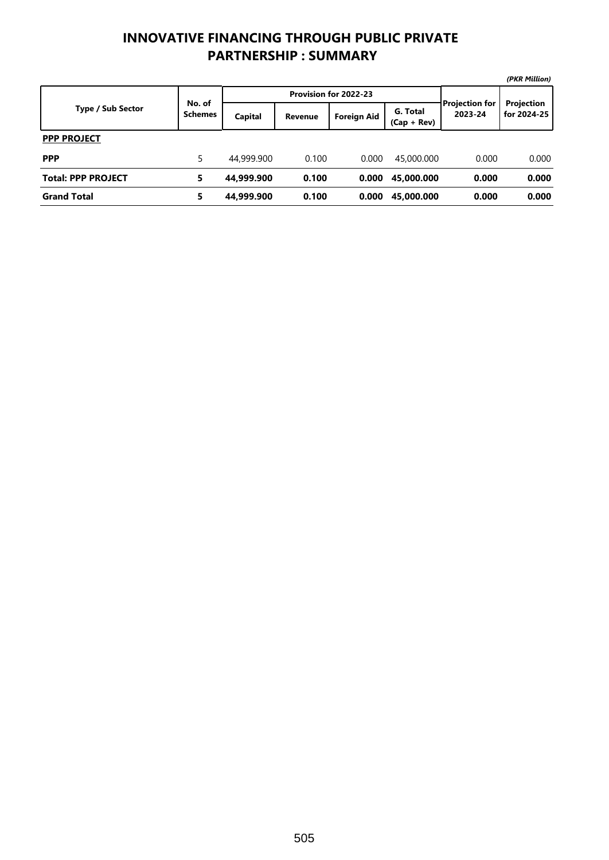## **INNOVATIVE FINANCING THROUGH PUBLIC PRIVATE PARTNERSHIP : SUMMARY**

|                           |                          |            |                       |                    |                           |                                  | (PKR Million)             |
|---------------------------|--------------------------|------------|-----------------------|--------------------|---------------------------|----------------------------------|---------------------------|
|                           | No. of<br><b>Schemes</b> |            | Provision for 2022-23 |                    |                           |                                  |                           |
| <b>Type / Sub Sector</b>  |                          | Capital    | <b>Revenue</b>        | <b>Foreign Aid</b> | G. Total<br>$(Cap + Rev)$ | <b>Projection for</b><br>2023-24 | Projection<br>for 2024-25 |
| <b>PPP PROJECT</b>        |                          |            |                       |                    |                           |                                  |                           |
| <b>PPP</b>                | 5                        | 44,999.900 | 0.100                 | 0.000              | 45,000.000                | 0.000                            | 0.000                     |
| <b>Total: PPP PROJECT</b> | 5                        | 44,999.900 | 0.100                 | 0.000              | 45,000.000                | 0.000                            | 0.000                     |
| <b>Grand Total</b>        | 5                        | 44.999.900 | 0.100                 | 0.000              | 45,000.000                | 0.000                            | 0.000                     |